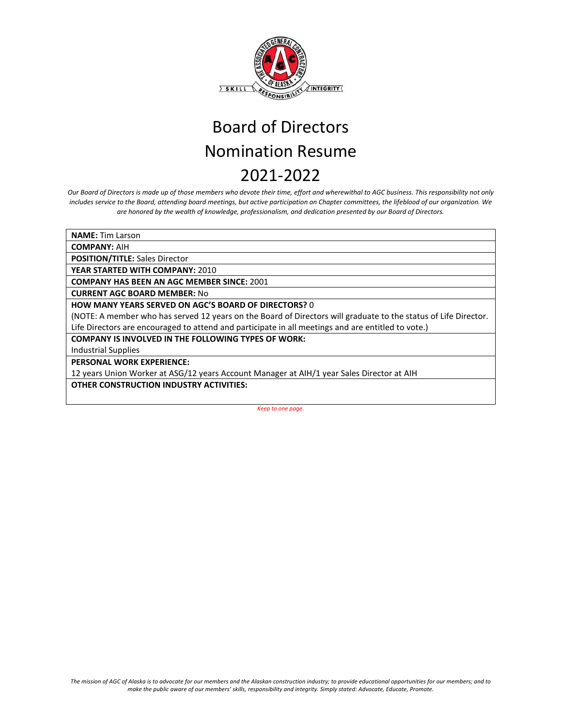

*Our Board of Directors is made up of those members who devote their time, effort and wherewithal to AGC business. This responsibility not only includes service to the Board, attending board meetings, but active participation on Chapter committees, the lifeblood of our organization. We are honored by the wealth of knowledge, professionalism, and dedication presented by our Board of Directors.*

**NAME:** Tim Larson

**COMPANY:** AIH

**POSITION/TITLE:** Sales Director

**YEAR STARTED WITH COMPANY:** 2010

**COMPANY HAS BEEN AN AGC MEMBER SINCE:** 2001

**CURRENT AGC BOARD MEMBER:** No

**HOW MANY YEARS SERVED ON AGC'S BOARD OF DIRECTORS?** 0

(NOTE: A member who has served 12 years on the Board of Directors will graduate to the status of Life Director. Life Directors are encouraged to attend and participate in all meetings and are entitled to vote.)

**COMPANY IS INVOLVED IN THE FOLLOWING TYPES OF WORK:** 

Industrial Supplies

**PERSONAL WORK EXPERIENCE:**

12 years Union Worker at ASG/12 years Account Manager at AIH/1 year Sales Director at AIH

**OTHER CONSTRUCTION INDUSTRY ACTIVITIES:**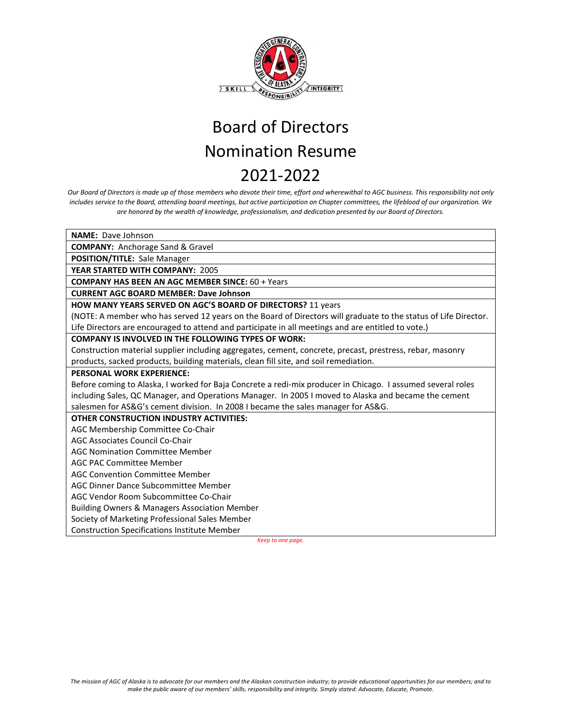

*Our Board of Directors is made up of those members who devote their time, effort and wherewithal to AGC business. This responsibility not only includes service to the Board, attending board meetings, but active participation on Chapter committees, the lifeblood of our organization. We are honored by the wealth of knowledge, professionalism, and dedication presented by our Board of Directors.*

**NAME:** Dave Johnson **COMPANY:** Anchorage Sand & Gravel **POSITION/TITLE:** Sale Manager **YEAR STARTED WITH COMPANY:** 2005 **COMPANY HAS BEEN AN AGC MEMBER SINCE:** 60 + Years **CURRENT AGC BOARD MEMBER: Dave Johnson HOW MANY YEARS SERVED ON AGC'S BOARD OF DIRECTORS?** 11 years (NOTE: A member who has served 12 years on the Board of Directors will graduate to the status of Life Director. Life Directors are encouraged to attend and participate in all meetings and are entitled to vote.) **COMPANY IS INVOLVED IN THE FOLLOWING TYPES OF WORK:**  Construction material supplier including aggregates, cement, concrete, precast, prestress, rebar, masonry products, sacked products, building materials, clean fill site, and soil remediation. **PERSONAL WORK EXPERIENCE:** Before coming to Alaska, I worked for Baja Concrete a redi-mix producer in Chicago. I assumed several roles including Sales, QC Manager, and Operations Manager. In 2005 I moved to Alaska and became the cement salesmen for AS&G's cement division. In 2008 I became the sales manager for AS&G. **OTHER CONSTRUCTION INDUSTRY ACTIVITIES:** AGC Membership Committee Co-Chair AGC Associates Council Co-Chair AGC Nomination Committee Member AGC PAC Committee Member AGC Convention Committee Member AGC Dinner Dance Subcommittee Member AGC Vendor Room Subcommittee Co-Chair Building Owners & Managers Association Member Society of Marketing Professional Sales Member Construction Specifications Institute Member *Keep to one page.*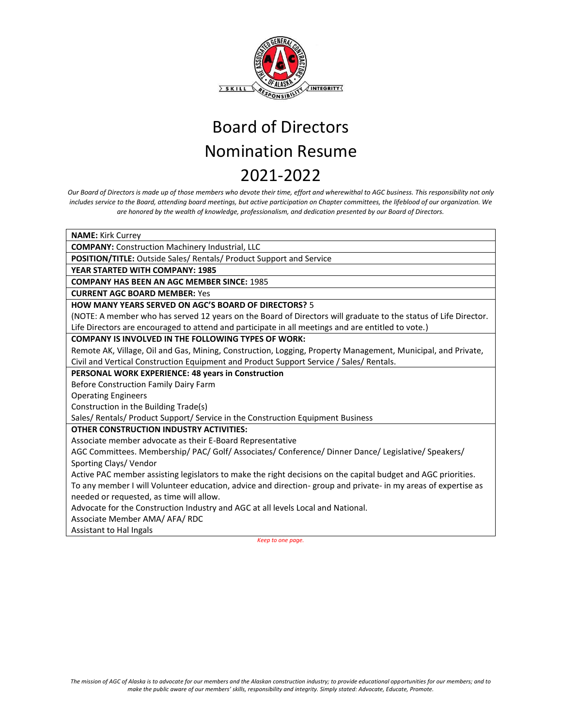

*Our Board of Directors is made up of those members who devote their time, effort and wherewithal to AGC business. This responsibility not only includes service to the Board, attending board meetings, but active participation on Chapter committees, the lifeblood of our organization. We are honored by the wealth of knowledge, professionalism, and dedication presented by our Board of Directors.* 

| <b>NAME:</b> Kirk Currey                                                                                        |
|-----------------------------------------------------------------------------------------------------------------|
| <b>COMPANY:</b> Construction Machinery Industrial, LLC                                                          |
| POSITION/TITLE: Outside Sales/ Rentals/ Product Support and Service                                             |
| YEAR STARTED WITH COMPANY: 1985                                                                                 |
| <b>COMPANY HAS BEEN AN AGC MEMBER SINCE: 1985</b>                                                               |
| <b>CURRENT AGC BOARD MEMBER: Yes</b>                                                                            |
| <b>HOW MANY YEARS SERVED ON AGC'S BOARD OF DIRECTORS?</b> 5                                                     |
| (NOTE: A member who has served 12 years on the Board of Directors will graduate to the status of Life Director. |
| Life Directors are encouraged to attend and participate in all meetings and are entitled to vote.)              |
| <b>COMPANY IS INVOLVED IN THE FOLLOWING TYPES OF WORK:</b>                                                      |
| Remote AK, Village, Oil and Gas, Mining, Construction, Logging, Property Management, Municipal, and Private,    |
| Civil and Vertical Construction Equipment and Product Support Service / Sales/ Rentals.                         |
| PERSONAL WORK EXPERIENCE: 48 years in Construction                                                              |
| Before Construction Family Dairy Farm                                                                           |
| <b>Operating Engineers</b>                                                                                      |
| Construction in the Building Trade(s)                                                                           |
| Sales/ Rentals/ Product Support/ Service in the Construction Equipment Business                                 |
| <b>OTHER CONSTRUCTION INDUSTRY ACTIVITIES:</b>                                                                  |
| Associate member advocate as their E-Board Representative                                                       |
| AGC Committees. Membership/ PAC/ Golf/ Associates/ Conference/ Dinner Dance/ Legislative/ Speakers/             |
| Sporting Clays/Vendor                                                                                           |
| Active PAC member assisting legislators to make the right decisions on the capital budget and AGC priorities.   |
| To any member I will Volunteer education, advice and direction- group and private- in my areas of expertise as  |
| needed or requested, as time will allow.                                                                        |
| Advocate for the Construction Industry and AGC at all levels Local and National.                                |
| Associate Member AMA/ AFA/ RDC                                                                                  |
| <b>Assistant to Hal Ingals</b>                                                                                  |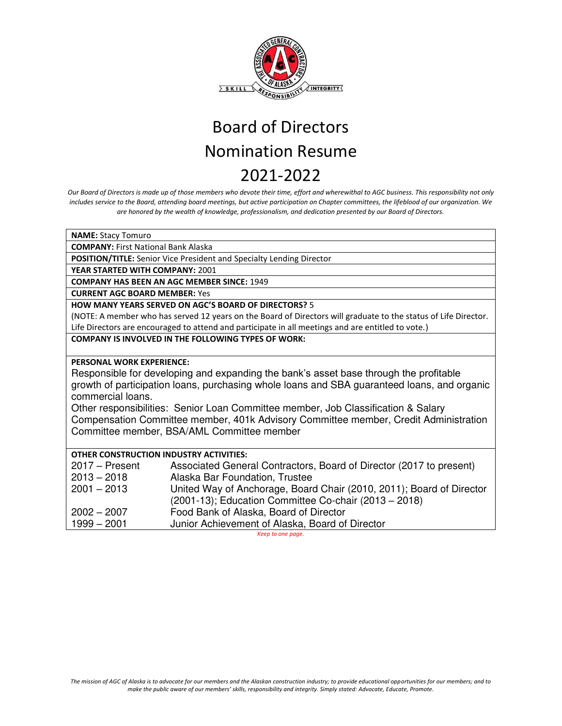

*Our Board of Directors is made up of those members who devote their time, effort and wherewithal to AGC business. This responsibility not only includes service to the Board, attending board meetings, but active participation on Chapter committees, the lifeblood of our organization. We are honored by the wealth of knowledge, professionalism, and dedication presented by our Board of Directors.* 

| <b>NAME: Stacy Tomuro</b>                                                                          |                                                                                                                 |  |
|----------------------------------------------------------------------------------------------------|-----------------------------------------------------------------------------------------------------------------|--|
| <b>COMPANY: First National Bank Alaska</b>                                                         |                                                                                                                 |  |
| POSITION/TITLE: Senior Vice President and Specialty Lending Director                               |                                                                                                                 |  |
| YEAR STARTED WITH COMPANY: 2001                                                                    |                                                                                                                 |  |
| <b>COMPANY HAS BEEN AN AGC MEMBER SINCE: 1949</b>                                                  |                                                                                                                 |  |
| <b>CURRENT AGC BOARD MEMBER: Yes</b>                                                               |                                                                                                                 |  |
| <b>HOW MANY YEARS SERVED ON AGC'S BOARD OF DIRECTORS? 5</b>                                        |                                                                                                                 |  |
|                                                                                                    | (NOTE: A member who has served 12 years on the Board of Directors will graduate to the status of Life Director. |  |
| Life Directors are encouraged to attend and participate in all meetings and are entitled to vote.) |                                                                                                                 |  |
|                                                                                                    | <b>COMPANY IS INVOLVED IN THE FOLLOWING TYPES OF WORK:</b>                                                      |  |
|                                                                                                    |                                                                                                                 |  |
| <b>PERSONAL WORK EXPERIENCE:</b>                                                                   |                                                                                                                 |  |
| Responsible for developing and expanding the bank's asset base through the profitable              |                                                                                                                 |  |
| growth of participation loans, purchasing whole loans and SBA guaranteed loans, and organic        |                                                                                                                 |  |
| commercial loans.                                                                                  |                                                                                                                 |  |
| Other responsibilities: Senior Loan Committee member, Job Classification & Salary                  |                                                                                                                 |  |
| Compensation Committee member, 401k Advisory Committee member, Credit Administration               |                                                                                                                 |  |
| Committee member, BSA/AML Committee member                                                         |                                                                                                                 |  |
|                                                                                                    |                                                                                                                 |  |
| <b>OTHER CONSTRUCTION INDUSTRY ACTIVITIES:</b>                                                     |                                                                                                                 |  |
| $2017 -$ Present                                                                                   | Associated General Contractors, Board of Director (2017 to present)                                             |  |
| $2013 - 2018$                                                                                      | Alaska Bar Foundation, Trustee                                                                                  |  |
| $2001 - 2013$                                                                                      | United Way of Anchorage, Board Chair (2010, 2011); Board of Director                                            |  |
|                                                                                                    | (2001-13); Education Committee Co-chair (2013 - 2018)                                                           |  |
| $2002 - 2007$                                                                                      | Food Bank of Alaska, Board of Director                                                                          |  |
| $1999 - 2001$                                                                                      | Junior Achievement of Alaska, Board of Director                                                                 |  |
| Keep to one page.                                                                                  |                                                                                                                 |  |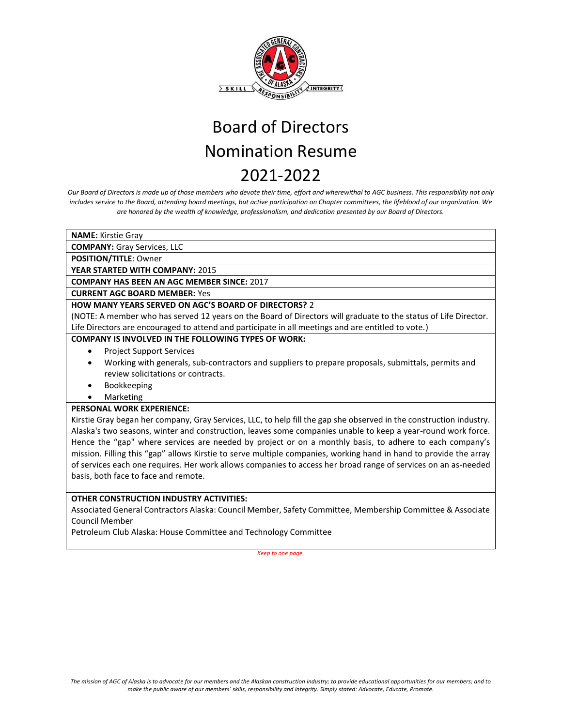

*Our Board of Directors is made up of those members who devote their time, effort and wherewithal to AGC business. This responsibility not only includes service to the Board, attending board meetings, but active participation on Chapter committees, the lifeblood of our organization. We are honored by the wealth of knowledge, professionalism, and dedication presented by our Board of Directors.* 

**NAME:** Kirstie Gray

**COMPANY:** Gray Services, LLC

**POSITION/TITLE**: Owner

**YEAR STARTED WITH COMPANY:** 2015

**COMPANY HAS BEEN AN AGC MEMBER SINCE:** 2017

**CURRENT AGC BOARD MEMBER:** Yes

### **HOW MANY YEARS SERVED ON AGC'S BOARD OF DIRECTORS?** 2

(NOTE: A member who has served 12 years on the Board of Directors will graduate to the status of Life Director. Life Directors are encouraged to attend and participate in all meetings and are entitled to vote.)

#### **COMPANY IS INVOLVED IN THE FOLLOWING TYPES OF WORK:**

- Project Support Services
- Working with generals, sub-contractors and suppliers to prepare proposals, submittals, permits and review solicitations or contracts.
- Bookkeeping
- **Marketing**

#### **PERSONAL WORK EXPERIENCE:**

Kirstie Gray began her company, Gray Services, LLC, to help fill the gap she observed in the construction industry. Alaska's two seasons, winter and construction, leaves some companies unable to keep a year-round work force. Hence the "gap" where services are needed by project or on a monthly basis, to adhere to each company's mission. Filling this "gap" allows Kirstie to serve multiple companies, working hand in hand to provide the array of services each one requires. Her work allows companies to access her broad range of services on an as-needed basis, both face to face and remote.

### **OTHER CONSTRUCTION INDUSTRY ACTIVITIES:**

Associated General Contractors Alaska: Council Member, Safety Committee, Membership Committee & Associate Council Member

Petroleum Club Alaska: House Committee and Technology Committee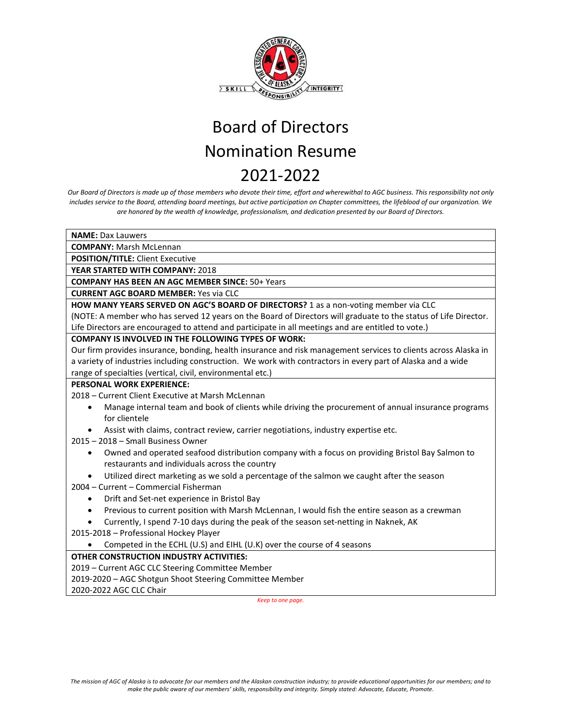

*Our Board of Directors is made up of those members who devote their time, effort and wherewithal to AGC business. This responsibility not only includes service to the Board, attending board meetings, but active participation on Chapter committees, the lifeblood of our organization. We are honored by the wealth of knowledge, professionalism, and dedication presented by our Board of Directors.*

**NAME:** Dax Lauwers

**COMPANY:** Marsh McLennan

**POSITION/TITLE:** Client Executive

**YEAR STARTED WITH COMPANY:** 2018

**COMPANY HAS BEEN AN AGC MEMBER SINCE:** 50+ Years

**CURRENT AGC BOARD MEMBER:** Yes via CLC

**HOW MANY YEARS SERVED ON AGC'S BOARD OF DIRECTORS?** 1 as a non-voting member via CLC

(NOTE: A member who has served 12 years on the Board of Directors will graduate to the status of Life Director. Life Directors are encouraged to attend and participate in all meetings and are entitled to vote.)

### **COMPANY IS INVOLVED IN THE FOLLOWING TYPES OF WORK:**

Our firm provides insurance, bonding, health insurance and risk management services to clients across Alaska in a variety of industries including construction. We work with contractors in every part of Alaska and a wide range of specialties (vertical, civil, environmental etc.)

### **PERSONAL WORK EXPERIENCE:**

2018 – Current Client Executive at Marsh McLennan

- Manage internal team and book of clients while driving the procurement of annual insurance programs for clientele
- Assist with claims, contract review, carrier negotiations, industry expertise etc.
- 2015 2018 Small Business Owner
	- Owned and operated seafood distribution company with a focus on providing Bristol Bay Salmon to restaurants and individuals across the country
	- Utilized direct marketing as we sold a percentage of the salmon we caught after the season

2004 – Current – Commercial Fisherman

- Drift and Set-net experience in Bristol Bay
- Previous to current position with Marsh McLennan, I would fish the entire season as a crewman
- Currently, I spend 7-10 days during the peak of the season set-netting in Naknek, AK

2015-2018 – Professional Hockey Player

• Competed in the ECHL (U.S) and EIHL (U.K) over the course of 4 seasons

### **OTHER CONSTRUCTION INDUSTRY ACTIVITIES:**

- 2019 Current AGC CLC Steering Committee Member
- 2019-2020 AGC Shotgun Shoot Steering Committee Member

2020-2022 AGC CLC Chair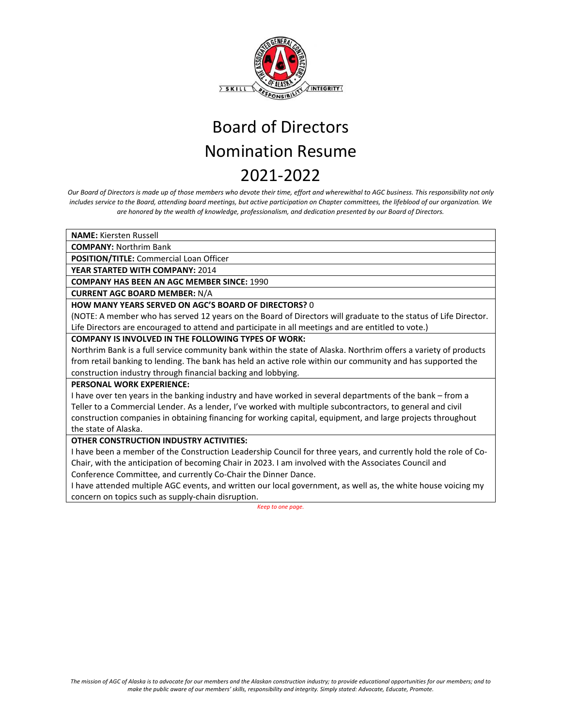

*Our Board of Directors is made up of those members who devote their time, effort and wherewithal to AGC business. This responsibility not only includes service to the Board, attending board meetings, but active participation on Chapter committees, the lifeblood of our organization. We are honored by the wealth of knowledge, professionalism, and dedication presented by our Board of Directors.*

**NAME:** Kiersten Russell

**COMPANY:** Northrim Bank

**POSITION/TITLE:** Commercial Loan Officer

**YEAR STARTED WITH COMPANY:** 2014

**COMPANY HAS BEEN AN AGC MEMBER SINCE:** 1990

**CURRENT AGC BOARD MEMBER:** N/A

**HOW MANY YEARS SERVED ON AGC'S BOARD OF DIRECTORS?** 0

(NOTE: A member who has served 12 years on the Board of Directors will graduate to the status of Life Director. Life Directors are encouraged to attend and participate in all meetings and are entitled to vote.)

#### **COMPANY IS INVOLVED IN THE FOLLOWING TYPES OF WORK:**

Northrim Bank is a full service community bank within the state of Alaska. Northrim offers a variety of products from retail banking to lending. The bank has held an active role within our community and has supported the construction industry through financial backing and lobbying.

#### **PERSONAL WORK EXPERIENCE:**

I have over ten years in the banking industry and have worked in several departments of the bank – from a Teller to a Commercial Lender. As a lender, I've worked with multiple subcontractors, to general and civil construction companies in obtaining financing for working capital, equipment, and large projects throughout the state of Alaska.

### **OTHER CONSTRUCTION INDUSTRY ACTIVITIES:**

I have been a member of the Construction Leadership Council for three years, and currently hold the role of Co-Chair, with the anticipation of becoming Chair in 2023. I am involved with the Associates Council and Conference Committee, and currently Co-Chair the Dinner Dance.

I have attended multiple AGC events, and written our local government, as well as, the white house voicing my concern on topics such as supply-chain disruption.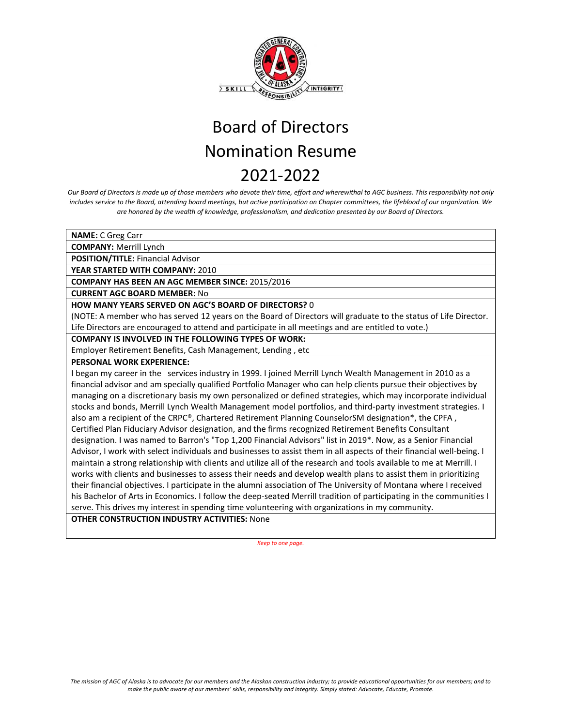

*Our Board of Directors is made up of those members who devote their time, effort and wherewithal to AGC business. This responsibility not only includes service to the Board, attending board meetings, but active participation on Chapter committees, the lifeblood of our organization. We are honored by the wealth of knowledge, professionalism, and dedication presented by our Board of Directors.*

**NAME:** C Greg Carr

**COMPANY:** Merrill Lynch

**POSITION/TITLE:** Financial Advisor

**YEAR STARTED WITH COMPANY:** 2010

**COMPANY HAS BEEN AN AGC MEMBER SINCE:** 2015/2016

**CURRENT AGC BOARD MEMBER:** No

#### **HOW MANY YEARS SERVED ON AGC'S BOARD OF DIRECTORS?** 0

(NOTE: A member who has served 12 years on the Board of Directors will graduate to the status of Life Director. Life Directors are encouraged to attend and participate in all meetings and are entitled to vote.)

#### **COMPANY IS INVOLVED IN THE FOLLOWING TYPES OF WORK:**

Employer Retirement Benefits, Cash Management, Lending , etc

#### **PERSONAL WORK EXPERIENCE:**

I began my career in the services industry in 1999. I joined Merrill Lynch Wealth Management in 2010 as a financial advisor and am specially qualified Portfolio Manager who can help clients pursue their objectives by managing on a discretionary basis my own personalized or defined strategies, which may incorporate individual stocks and bonds, Merrill Lynch Wealth Management model portfolios, and third-party investment strategies. I also am a recipient of the CRPC®, Chartered Retirement Planning CounselorSM designation\*, the CPFA, Certified Plan Fiduciary Advisor designation, and the firms recognized Retirement Benefits Consultant designation. I was named to Barron's "Top 1,200 Financial Advisors" list in 2019\*. Now, as a Senior Financial Advisor, I work with select individuals and businesses to assist them in all aspects of their financial well-being. I maintain a strong relationship with clients and utilize all of the research and tools available to me at Merrill. I works with clients and businesses to assess their needs and develop wealth plans to assist them in prioritizing their financial objectives. I participate in the alumni association of The University of Montana where I received his Bachelor of Arts in Economics. I follow the deep-seated Merrill tradition of participating in the communities I serve. This drives my interest in spending time volunteering with organizations in my community.

### **OTHER CONSTRUCTION INDUSTRY ACTIVITIES:** None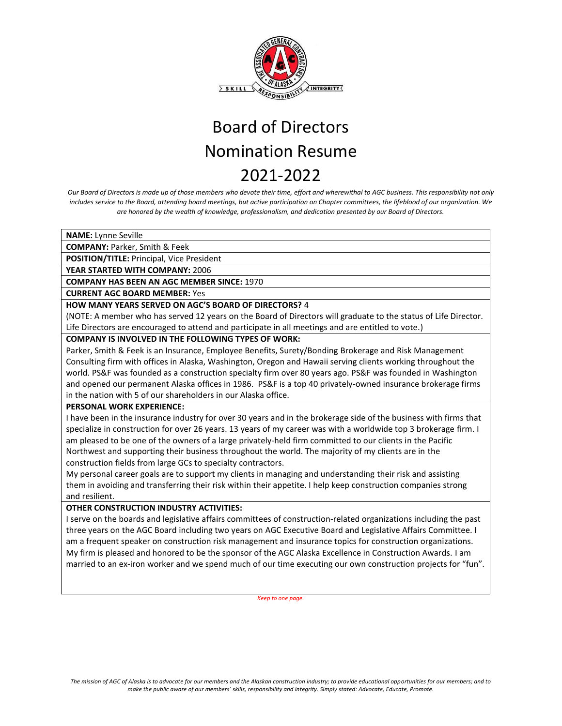

*Our Board of Directors is made up of those members who devote their time, effort and wherewithal to AGC business. This responsibility not only includes service to the Board, attending board meetings, but active participation on Chapter committees, the lifeblood of our organization. We are honored by the wealth of knowledge, professionalism, and dedication presented by our Board of Directors.* 

**NAME:** Lynne Seville

**COMPANY:** Parker, Smith & Feek

**POSITION/TITLE:** Principal, Vice President

**YEAR STARTED WITH COMPANY:** 2006

**COMPANY HAS BEEN AN AGC MEMBER SINCE:** 1970

**CURRENT AGC BOARD MEMBER:** Yes

### **HOW MANY YEARS SERVED ON AGC'S BOARD OF DIRECTORS?** 4

(NOTE: A member who has served 12 years on the Board of Directors will graduate to the status of Life Director. Life Directors are encouraged to attend and participate in all meetings and are entitled to vote.)

### **COMPANY IS INVOLVED IN THE FOLLOWING TYPES OF WORK:**

Parker, Smith & Feek is an Insurance, Employee Benefits, Surety/Bonding Brokerage and Risk Management Consulting firm with offices in Alaska, Washington, Oregon and Hawaii serving clients working throughout the world. PS&F was founded as a construction specialty firm over 80 years ago. PS&F was founded in Washington and opened our permanent Alaska offices in 1986. PS&F is a top 40 privately-owned insurance brokerage firms in the nation with 5 of our shareholders in our Alaska office.

#### **PERSONAL WORK EXPERIENCE:**

I have been in the insurance industry for over 30 years and in the brokerage side of the business with firms that specialize in construction for over 26 years. 13 years of my career was with a worldwide top 3 brokerage firm. I am pleased to be one of the owners of a large privately-held firm committed to our clients in the Pacific Northwest and supporting their business throughout the world. The majority of my clients are in the construction fields from large GCs to specialty contractors.

My personal career goals are to support my clients in managing and understanding their risk and assisting them in avoiding and transferring their risk within their appetite. I help keep construction companies strong and resilient.

### **OTHER CONSTRUCTION INDUSTRY ACTIVITIES:**

I serve on the boards and legislative affairs committees of construction‐related organizations including the past three years on the AGC Board including two years on AGC Executive Board and Legislative Affairs Committee. I am a frequent speaker on construction risk management and insurance topics for construction organizations. My firm is pleased and honored to be the sponsor of the AGC Alaska Excellence in Construction Awards. I am married to an ex-iron worker and we spend much of our time executing our own construction projects for "fun".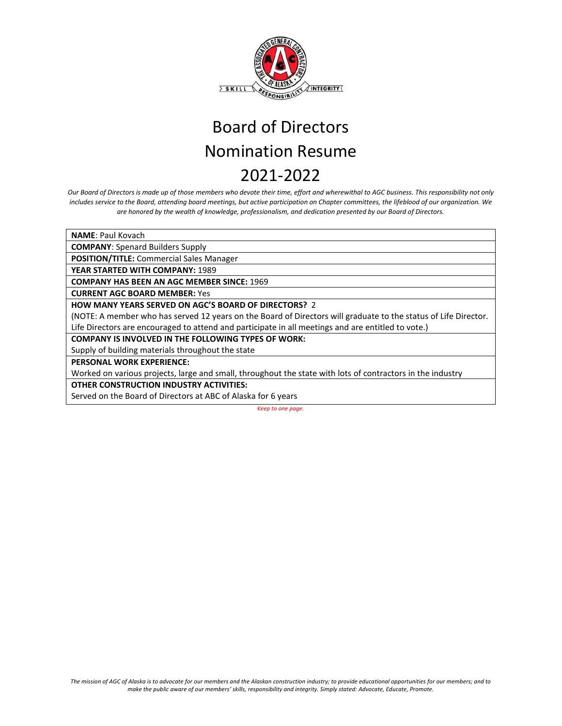

*Our Board of Directors is made up of those members who devote their time, effort and wherewithal to AGC business. This responsibility not only includes service to the Board, attending board meetings, but active participation on Chapter committees, the lifeblood of our organization. We are honored by the wealth of knowledge, professionalism, and dedication presented by our Board of Directors.*

**NAME**: Paul Kovach

**COMPANY**: Spenard Builders Supply

**POSITION/TITLE:** Commercial Sales Manager

**YEAR STARTED WITH COMPANY:** 1989

**COMPANY HAS BEEN AN AGC MEMBER SINCE:** 1969

**CURRENT AGC BOARD MEMBER:** Yes

**HOW MANY YEARS SERVED ON AGC'S BOARD OF DIRECTORS?** 2

(NOTE: A member who has served 12 years on the Board of Directors will graduate to the status of Life Director. Life Directors are encouraged to attend and participate in all meetings and are entitled to vote.)

**COMPANY IS INVOLVED IN THE FOLLOWING TYPES OF WORK:** 

Supply of building materials throughout the state

**PERSONAL WORK EXPERIENCE:**

Worked on various projects, large and small, throughout the state with lots of contractors in the industry

**OTHER CONSTRUCTION INDUSTRY ACTIVITIES:**

Served on the Board of Directors at ABC of Alaska for 6 years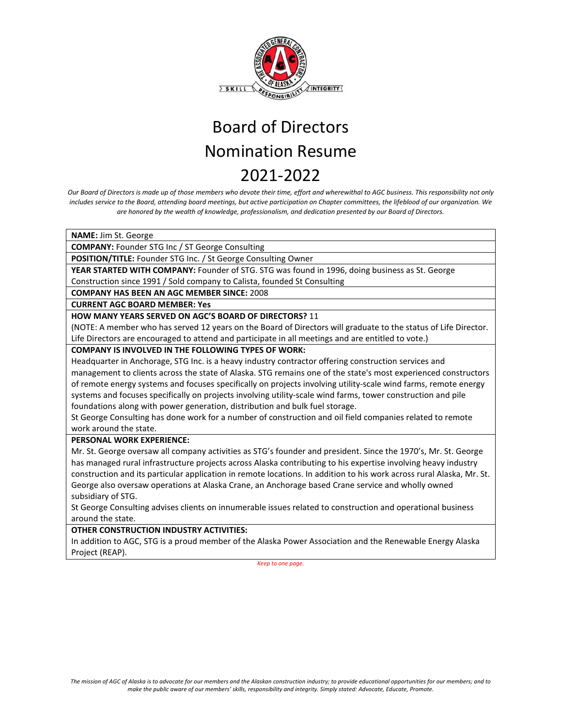

*Our Board of Directors is made up of those members who devote their time, effort and wherewithal to AGC business. This responsibility not only includes service to the Board, attending board meetings, but active participation on Chapter committees, the lifeblood of our organization. We are honored by the wealth of knowledge, professionalism, and dedication presented by our Board of Directors.*

**NAME:** Jim St. George

**COMPANY:** Founder STG Inc / ST George Consulting

**POSITION/TITLE:** Founder STG Inc. / St George Consulting Owner

**YEAR STARTED WITH COMPANY:** Founder of STG. STG was found in 1996, doing business as St. George Construction since 1991 / Sold company to Calista, founded St Consulting

**COMPANY HAS BEEN AN AGC MEMBER SINCE:** 2008

**CURRENT AGC BOARD MEMBER: Yes**

### **HOW MANY YEARS SERVED ON AGC'S BOARD OF DIRECTORS?** 11

(NOTE: A member who has served 12 years on the Board of Directors will graduate to the status of Life Director. Life Directors are encouraged to attend and participate in all meetings and are entitled to vote.)

**COMPANY IS INVOLVED IN THE FOLLOWING TYPES OF WORK:** 

Headquarter in Anchorage, STG Inc. is a heavy industry contractor offering construction services and management to clients across the state of Alaska. STG remains one of the state's most experienced constructors of remote energy systems and focuses specifically on projects involving utility-scale wind farms, remote energy systems and focuses specifically on projects involving utility-scale wind farms, tower construction and pile foundations along with power generation, distribution and bulk fuel storage.

St George Consulting has done work for a number of construction and oil field companies related to remote work around the state.

**PERSONAL WORK EXPERIENCE:**

Mr. St. George oversaw all company activities as STG's founder and president. Since the 1970's, Mr. St. George has managed rural infrastructure projects across Alaska contributing to his expertise involving heavy industry construction and its particular application in remote locations. In addition to his work across rural Alaska, Mr. St. George also oversaw operations at Alaska Crane, an Anchorage based Crane service and wholly owned subsidiary of STG.

St George Consulting advises clients on innumerable issues related to construction and operational business around the state.

**OTHER CONSTRUCTION INDUSTRY ACTIVITIES:**

In addition to AGC, STG is a proud member of the Alaska Power Association and the Renewable Energy Alaska Project (REAP).